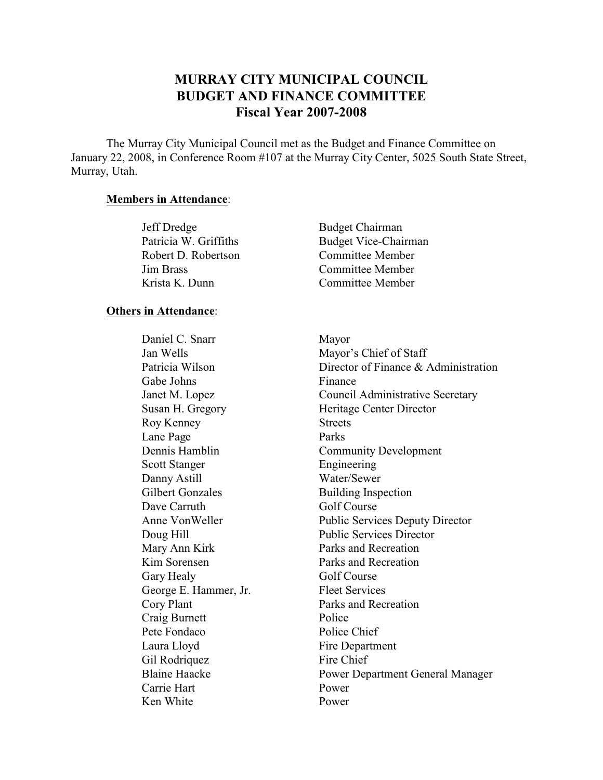# **MURRAY CITY MUNICIPAL COUNCIL BUDGET AND FINANCE COMMITTEE Fiscal Year 2007-2008**

The Murray City Municipal Council met as the Budget and Finance Committee on January 22, 2008, in Conference Room #107 at the Murray City Center, 5025 South State Street, Murray, Utah.

#### **Members in Attendance**:

| Jeff Dredge           | <b>Budget Chairman</b>      |
|-----------------------|-----------------------------|
| Patricia W. Griffiths | <b>Budget Vice-Chairman</b> |
| Robert D. Robertson   | <b>Committee Member</b>     |
| <b>Jim Brass</b>      | Committee Member            |
| Krista K. Dunn        | Committee Member            |

### **Others in Attendance**:

Daniel C. Snarr Mayor Gabe Johns Finance Roy Kenney Streets Lane Page Parks Scott Stanger Engineering Danny Astill Water/Sewer Gilbert Gonzales Building Inspection Dave Carruth Golf Course Mary Ann Kirk Parks and Recreation Kim Sorensen Parks and Recreation Gary Healy Golf Course George E. Hammer, Jr. Fleet Services Cory Plant Parks and Recreation Craig Burnett Police Pete Fondaco Police Chief Laura Lloyd Fire Department Gil Rodriquez Fire Chief Carrie Hart Power Ken White Power

Jan Wells Mayor's Chief of Staff Patricia Wilson Director of Finance & Administration Janet M. Lopez Council Administrative Secretary Susan H. Gregory **Heritage Center Director** Dennis Hamblin Community Development Anne Von Weller Public Services Deputy Director Doug Hill Public Services Director Blaine Haacke Power Department General Manager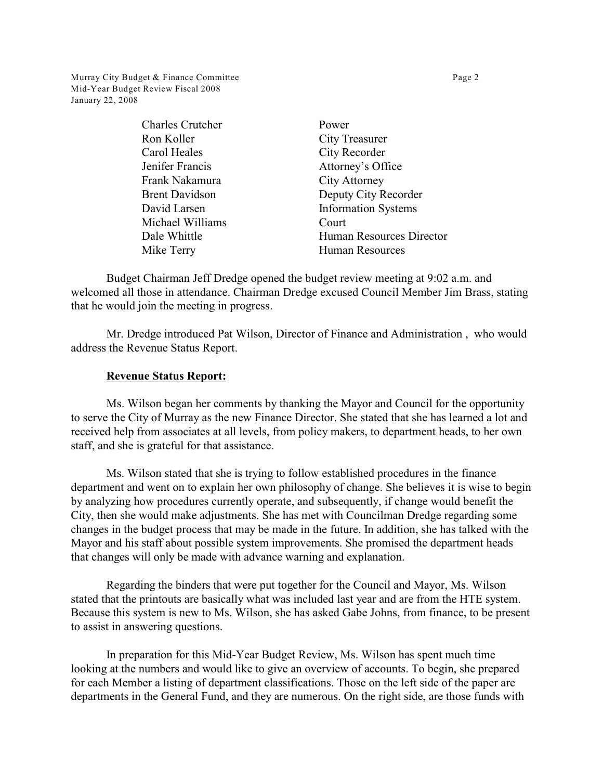Murray City Budget & Finance Committee **Page 2** Page 2 Mid-Year Budget Review Fiscal 2008 January 22, 2008

| <b>Charles Crutcher</b> | Power                      |
|-------------------------|----------------------------|
| Ron Koller              | <b>City Treasurer</b>      |
| Carol Heales            | City Recorder              |
| Jenifer Francis         | Attorney's Office          |
| Frank Nakamura          | <b>City Attorney</b>       |
| <b>Brent Davidson</b>   | Deputy City Recorder       |
| David Larsen            | <b>Information Systems</b> |
| Michael Williams        | Court                      |
| Dale Whittle            | Human Resources Director   |
| Mike Terry              | <b>Human Resources</b>     |
|                         |                            |

Budget Chairman Jeff Dredge opened the budget review meeting at 9:02 a.m. and welcomed all those in attendance. Chairman Dredge excused Council Member Jim Brass, stating that he would join the meeting in progress.

Mr. Dredge introduced Pat Wilson, Director of Finance and Administration , who would address the Revenue Status Report.

## **Revenue Status Report:**

Ms. Wilson began her comments by thanking the Mayor and Council for the opportunity to serve the City of Murray as the new Finance Director. She stated that she has learned a lot and received help from associates at all levels, from policy makers, to department heads, to her own staff, and she is grateful for that assistance.

Ms. Wilson stated that she is trying to follow established procedures in the finance department and went on to explain her own philosophy of change. She believes it is wise to begin by analyzing how procedures currently operate, and subsequently, if change would benefit the City, then she would make adjustments. She has met with Councilman Dredge regarding some changes in the budget process that may be made in the future. In addition, she has talked with the Mayor and his staff about possible system improvements. She promised the department heads that changes will only be made with advance warning and explanation.

Regarding the binders that were put together for the Council and Mayor, Ms. Wilson stated that the printouts are basically what was included last year and are from the HTE system. Because this system is new to Ms. Wilson, she has asked Gabe Johns, from finance, to be present to assist in answering questions.

In preparation for this Mid-Year Budget Review, Ms. Wilson has spent much time looking at the numbers and would like to give an overview of accounts. To begin, she prepared for each Member a listing of department classifications. Those on the left side of the paper are departments in the General Fund, and they are numerous. On the right side, are those funds with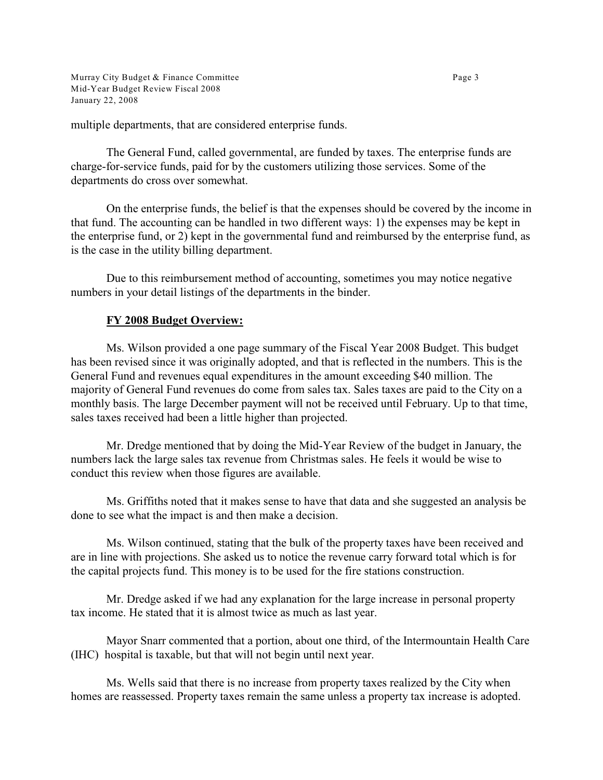Murray City Budget & Finance Committee **Page 3** Page 3 Mid-Year Budget Review Fiscal 2008 January 22, 2008

multiple departments, that are considered enterprise funds.

The General Fund, called governmental, are funded by taxes. The enterprise funds are charge-for-service funds, paid for by the customers utilizing those services. Some of the departments do cross over somewhat.

On the enterprise funds, the belief is that the expenses should be covered by the income in that fund. The accounting can be handled in two different ways: 1) the expenses may be kept in the enterprise fund, or 2) kept in the governmental fund and reimbursed by the enterprise fund, as is the case in the utility billing department.

Due to this reimbursement method of accounting, sometimes you may notice negative numbers in your detail listings of the departments in the binder.

## **FY 2008 Budget Overview:**

Ms. Wilson provided a one page summary of the Fiscal Year 2008 Budget. This budget has been revised since it was originally adopted, and that is reflected in the numbers. This is the General Fund and revenues equal expenditures in the amount exceeding \$40 million. The majority of General Fund revenues do come from sales tax. Sales taxes are paid to the City on a monthly basis. The large December payment will not be received until February. Up to that time, sales taxes received had been a little higher than projected.

Mr. Dredge mentioned that by doing the Mid-Year Review of the budget in January, the numbers lack the large sales tax revenue from Christmas sales. He feels it would be wise to conduct this review when those figures are available.

Ms. Griffiths noted that it makes sense to have that data and she suggested an analysis be done to see what the impact is and then make a decision.

Ms. Wilson continued, stating that the bulk of the property taxes have been received and are in line with projections. She asked us to notice the revenue carry forward total which is for the capital projects fund. This money is to be used for the fire stations construction.

Mr. Dredge asked if we had any explanation for the large increase in personal property tax income. He stated that it is almost twice as much as last year.

Mayor Snarr commented that a portion, about one third, of the Intermountain Health Care (IHC) hospital is taxable, but that will not begin until next year.

Ms. Wells said that there is no increase from property taxes realized by the City when homes are reassessed. Property taxes remain the same unless a property tax increase is adopted.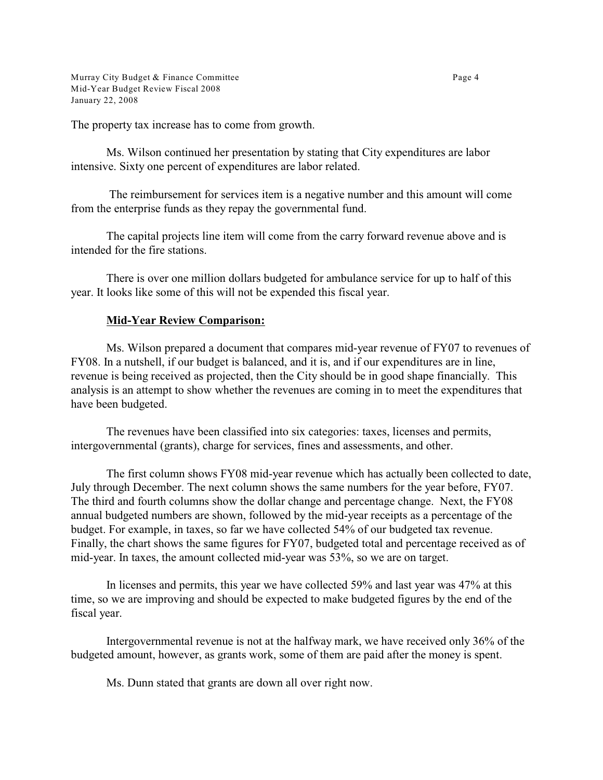Murray City Budget & Finance Committee **Page 4** Page 4 Mid-Year Budget Review Fiscal 2008 January 22, 2008

The property tax increase has to come from growth.

Ms. Wilson continued her presentation by stating that City expenditures are labor intensive. Sixty one percent of expenditures are labor related.

 The reimbursement for services item is a negative number and this amount will come from the enterprise funds as they repay the governmental fund.

The capital projects line item will come from the carry forward revenue above and is intended for the fire stations.

There is over one million dollars budgeted for ambulance service for up to half of this year. It looks like some of this will not be expended this fiscal year.

### **Mid-Year Review Comparison:**

Ms. Wilson prepared a document that compares mid-year revenue of FY07 to revenues of FY08. In a nutshell, if our budget is balanced, and it is, and if our expenditures are in line, revenue is being received as projected, then the City should be in good shape financially. This analysis is an attempt to show whether the revenues are coming in to meet the expenditures that have been budgeted.

The revenues have been classified into six categories: taxes, licenses and permits, intergovernmental (grants), charge for services, fines and assessments, and other.

The first column shows FY08 mid-year revenue which has actually been collected to date, July through December. The next column shows the same numbers for the year before, FY07. The third and fourth columns show the dollar change and percentage change. Next, the FY08 annual budgeted numbers are shown, followed by the mid-year receipts as a percentage of the budget. For example, in taxes, so far we have collected 54% of our budgeted tax revenue. Finally, the chart shows the same figures for FY07, budgeted total and percentage received as of mid-year. In taxes, the amount collected mid-year was 53%, so we are on target.

In licenses and permits, this year we have collected 59% and last year was 47% at this time, so we are improving and should be expected to make budgeted figures by the end of the fiscal year.

Intergovernmental revenue is not at the halfway mark, we have received only 36% of the budgeted amount, however, as grants work, some of them are paid after the money is spent.

Ms. Dunn stated that grants are down all over right now.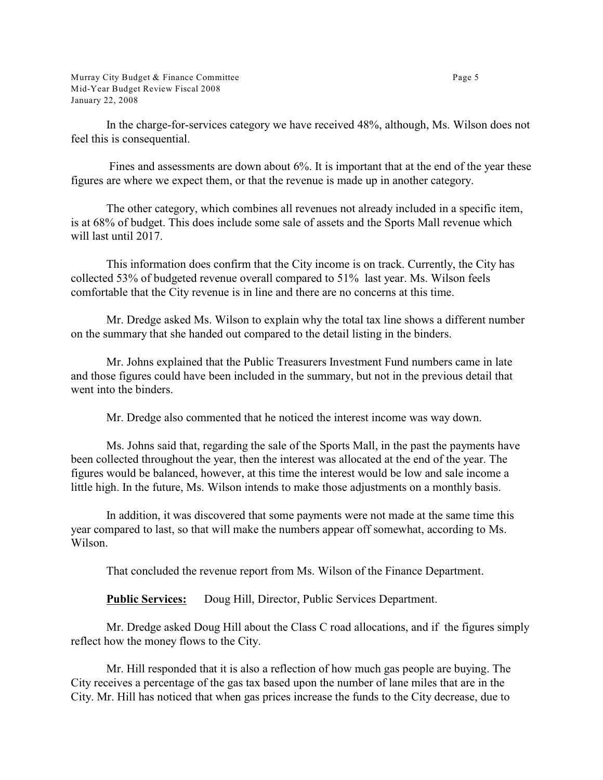Murray City Budget & Finance Committee **Page 5** Page 5 Mid-Year Budget Review Fiscal 2008 January 22, 2008

In the charge-for-services category we have received 48%, although, Ms. Wilson does not feel this is consequential.

 Fines and assessments are down about 6%. It is important that at the end of the year these figures are where we expect them, or that the revenue is made up in another category.

The other category, which combines all revenues not already included in a specific item, is at 68% of budget. This does include some sale of assets and the Sports Mall revenue which will last until 2017.

This information does confirm that the City income is on track. Currently, the City has collected 53% of budgeted revenue overall compared to 51% last year. Ms. Wilson feels comfortable that the City revenue is in line and there are no concerns at this time.

Mr. Dredge asked Ms. Wilson to explain why the total tax line shows a different number on the summary that she handed out compared to the detail listing in the binders.

Mr. Johns explained that the Public Treasurers Investment Fund numbers came in late and those figures could have been included in the summary, but not in the previous detail that went into the binders.

Mr. Dredge also commented that he noticed the interest income was way down.

Ms. Johns said that, regarding the sale of the Sports Mall, in the past the payments have been collected throughout the year, then the interest was allocated at the end of the year. The figures would be balanced, however, at this time the interest would be low and sale income a little high. In the future, Ms. Wilson intends to make those adjustments on a monthly basis.

In addition, it was discovered that some payments were not made at the same time this year compared to last, so that will make the numbers appear off somewhat, according to Ms. Wilson.

That concluded the revenue report from Ms. Wilson of the Finance Department.

**Public Services:** Doug Hill, Director, Public Services Department.

Mr. Dredge asked Doug Hill about the Class C road allocations, and if the figures simply reflect how the money flows to the City.

Mr. Hill responded that it is also a reflection of how much gas people are buying. The City receives a percentage of the gas tax based upon the number of lane miles that are in the City. Mr. Hill has noticed that when gas prices increase the funds to the City decrease, due to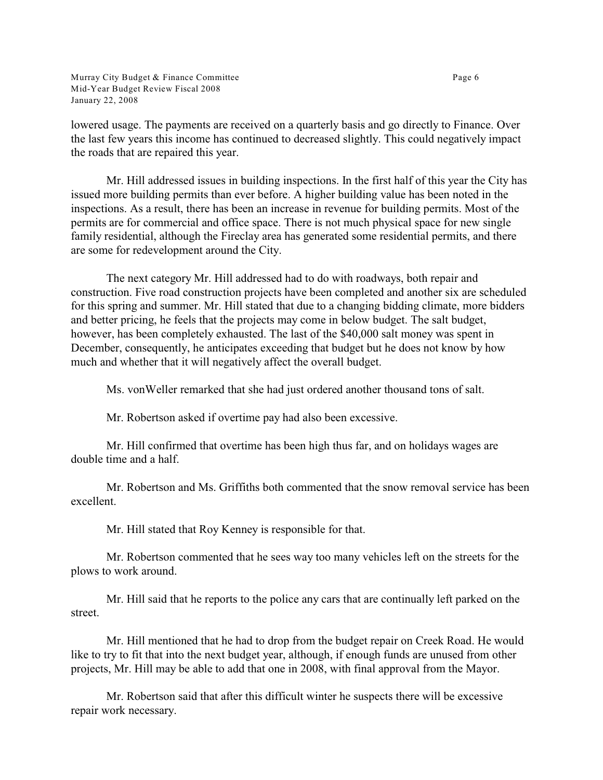Murray City Budget & Finance Committee **Page 6** Page 6 Mid-Year Budget Review Fiscal 2008 January 22, 2008

lowered usage. The payments are received on a quarterly basis and go directly to Finance. Over the last few years this income has continued to decreased slightly. This could negatively impact the roads that are repaired this year.

Mr. Hill addressed issues in building inspections. In the first half of this year the City has issued more building permits than ever before. A higher building value has been noted in the inspections. As a result, there has been an increase in revenue for building permits. Most of the permits are for commercial and office space. There is not much physical space for new single family residential, although the Fireclay area has generated some residential permits, and there are some for redevelopment around the City.

The next category Mr. Hill addressed had to do with roadways, both repair and construction. Five road construction projects have been completed and another six are scheduled for this spring and summer. Mr. Hill stated that due to a changing bidding climate, more bidders and better pricing, he feels that the projects may come in below budget. The salt budget, however, has been completely exhausted. The last of the \$40,000 salt money was spent in December, consequently, he anticipates exceeding that budget but he does not know by how much and whether that it will negatively affect the overall budget.

Ms. vonWeller remarked that she had just ordered another thousand tons of salt.

Mr. Robertson asked if overtime pay had also been excessive.

Mr. Hill confirmed that overtime has been high thus far, and on holidays wages are double time and a half.

Mr. Robertson and Ms. Griffiths both commented that the snow removal service has been excellent.

Mr. Hill stated that Roy Kenney is responsible for that.

Mr. Robertson commented that he sees way too many vehicles left on the streets for the plows to work around.

Mr. Hill said that he reports to the police any cars that are continually left parked on the street.

Mr. Hill mentioned that he had to drop from the budget repair on Creek Road. He would like to try to fit that into the next budget year, although, if enough funds are unused from other projects, Mr. Hill may be able to add that one in 2008, with final approval from the Mayor.

Mr. Robertson said that after this difficult winter he suspects there will be excessive repair work necessary.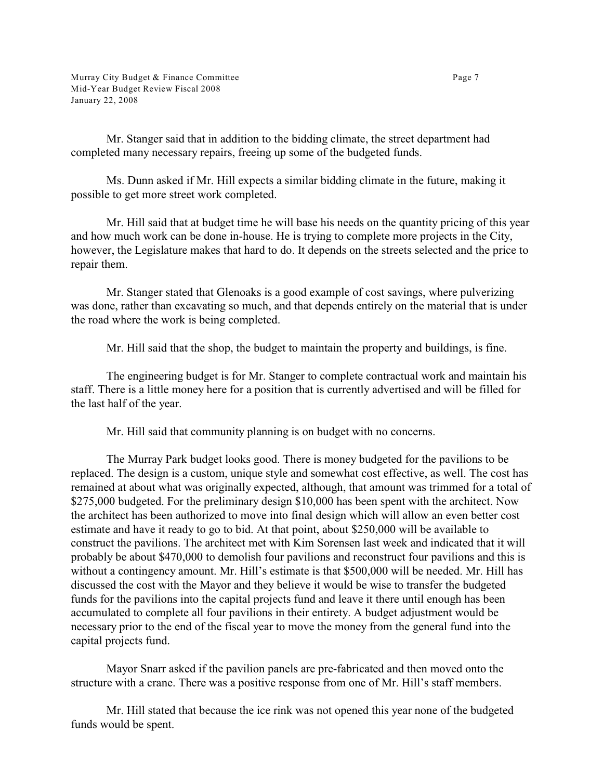Mr. Stanger said that in addition to the bidding climate, the street department had completed many necessary repairs, freeing up some of the budgeted funds.

Ms. Dunn asked if Mr. Hill expects a similar bidding climate in the future, making it possible to get more street work completed.

Mr. Hill said that at budget time he will base his needs on the quantity pricing of this year and how much work can be done in-house. He is trying to complete more projects in the City, however, the Legislature makes that hard to do. It depends on the streets selected and the price to repair them.

Mr. Stanger stated that Glenoaks is a good example of cost savings, where pulverizing was done, rather than excavating so much, and that depends entirely on the material that is under the road where the work is being completed.

Mr. Hill said that the shop, the budget to maintain the property and buildings, is fine.

The engineering budget is for Mr. Stanger to complete contractual work and maintain his staff. There is a little money here for a position that is currently advertised and will be filled for the last half of the year.

Mr. Hill said that community planning is on budget with no concerns.

The Murray Park budget looks good. There is money budgeted for the pavilions to be replaced. The design is a custom, unique style and somewhat cost effective, as well. The cost has remained at about what was originally expected, although, that amount was trimmed for a total of \$275,000 budgeted. For the preliminary design \$10,000 has been spent with the architect. Now the architect has been authorized to move into final design which will allow an even better cost estimate and have it ready to go to bid. At that point, about \$250,000 will be available to construct the pavilions. The architect met with Kim Sorensen last week and indicated that it will probably be about \$470,000 to demolish four pavilions and reconstruct four pavilions and this is without a contingency amount. Mr. Hill's estimate is that \$500,000 will be needed. Mr. Hill has discussed the cost with the Mayor and they believe it would be wise to transfer the budgeted funds for the pavilions into the capital projects fund and leave it there until enough has been accumulated to complete all four pavilions in their entirety. A budget adjustment would be necessary prior to the end of the fiscal year to move the money from the general fund into the capital projects fund.

Mayor Snarr asked if the pavilion panels are pre-fabricated and then moved onto the structure with a crane. There was a positive response from one of Mr. Hill's staff members.

Mr. Hill stated that because the ice rink was not opened this year none of the budgeted funds would be spent.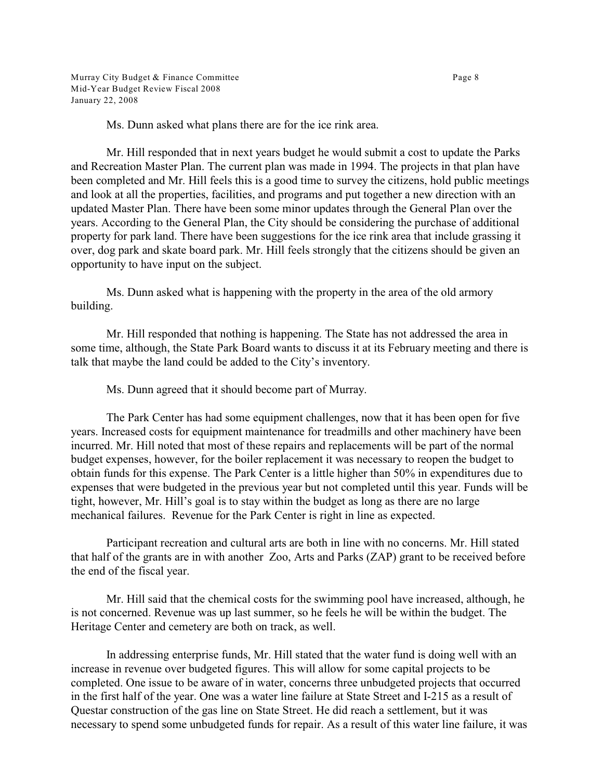Ms. Dunn asked what plans there are for the ice rink area.

Mr. Hill responded that in next years budget he would submit a cost to update the Parks and Recreation Master Plan. The current plan was made in 1994. The projects in that plan have been completed and Mr. Hill feels this is a good time to survey the citizens, hold public meetings and look at all the properties, facilities, and programs and put together a new direction with an updated Master Plan. There have been some minor updates through the General Plan over the years. According to the General Plan, the City should be considering the purchase of additional property for park land. There have been suggestions for the ice rink area that include grassing it over, dog park and skate board park. Mr. Hill feels strongly that the citizens should be given an opportunity to have input on the subject.

Ms. Dunn asked what is happening with the property in the area of the old armory building.

Mr. Hill responded that nothing is happening. The State has not addressed the area in some time, although, the State Park Board wants to discuss it at its February meeting and there is talk that maybe the land could be added to the City's inventory.

Ms. Dunn agreed that it should become part of Murray.

The Park Center has had some equipment challenges, now that it has been open for five years. Increased costs for equipment maintenance for treadmills and other machinery have been incurred. Mr. Hill noted that most of these repairs and replacements will be part of the normal budget expenses, however, for the boiler replacement it was necessary to reopen the budget to obtain funds for this expense. The Park Center is a little higher than 50% in expenditures due to expenses that were budgeted in the previous year but not completed until this year. Funds will be tight, however, Mr. Hill's goal is to stay within the budget as long as there are no large mechanical failures. Revenue for the Park Center is right in line as expected.

Participant recreation and cultural arts are both in line with no concerns. Mr. Hill stated that half of the grants are in with another Zoo, Arts and Parks (ZAP) grant to be received before the end of the fiscal year.

Mr. Hill said that the chemical costs for the swimming pool have increased, although, he is not concerned. Revenue was up last summer, so he feels he will be within the budget. The Heritage Center and cemetery are both on track, as well.

In addressing enterprise funds, Mr. Hill stated that the water fund is doing well with an increase in revenue over budgeted figures. This will allow for some capital projects to be completed. One issue to be aware of in water, concerns three unbudgeted projects that occurred in the first half of the year. One was a water line failure at State Street and I-215 as a result of Questar construction of the gas line on State Street. He did reach a settlement, but it was necessary to spend some unbudgeted funds for repair. As a result of this water line failure, it was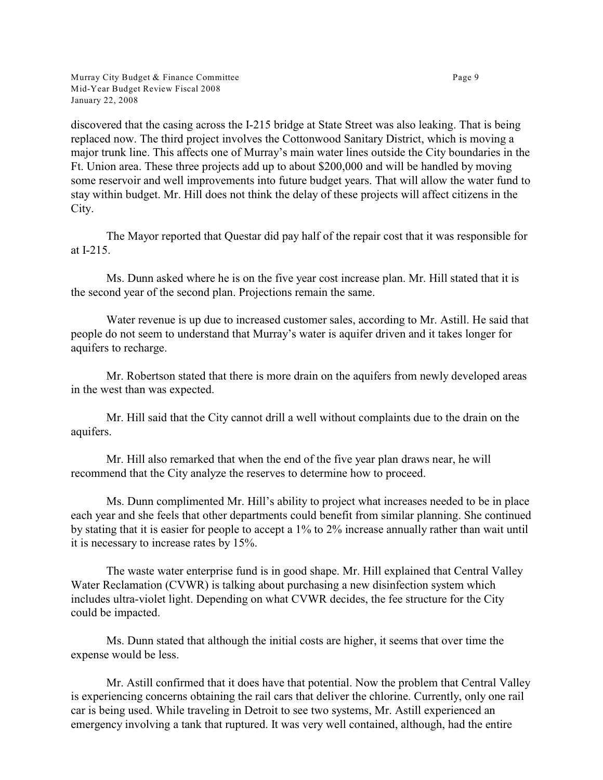Murray City Budget & Finance Committee **Page 9** Page 9 Mid-Year Budget Review Fiscal 2008 January 22, 2008

discovered that the casing across the I-215 bridge at State Street was also leaking. That is being replaced now. The third project involves the Cottonwood Sanitary District, which is moving a major trunk line. This affects one of Murray's main water lines outside the City boundaries in the Ft. Union area. These three projects add up to about \$200,000 and will be handled by moving some reservoir and well improvements into future budget years. That will allow the water fund to stay within budget. Mr. Hill does not think the delay of these projects will affect citizens in the City.

The Mayor reported that Questar did pay half of the repair cost that it was responsible for at I-215.

Ms. Dunn asked where he is on the five year cost increase plan. Mr. Hill stated that it is the second year of the second plan. Projections remain the same.

Water revenue is up due to increased customer sales, according to Mr. Astill. He said that people do not seem to understand that Murray's water is aquifer driven and it takes longer for aquifers to recharge.

Mr. Robertson stated that there is more drain on the aquifers from newly developed areas in the west than was expected.

Mr. Hill said that the City cannot drill a well without complaints due to the drain on the aquifers.

Mr. Hill also remarked that when the end of the five year plan draws near, he will recommend that the City analyze the reserves to determine how to proceed.

Ms. Dunn complimented Mr. Hill's ability to project what increases needed to be in place each year and she feels that other departments could benefit from similar planning. She continued by stating that it is easier for people to accept a 1% to 2% increase annually rather than wait until it is necessary to increase rates by 15%.

The waste water enterprise fund is in good shape. Mr. Hill explained that Central Valley Water Reclamation (CVWR) is talking about purchasing a new disinfection system which includes ultra-violet light. Depending on what CVWR decides, the fee structure for the City could be impacted.

Ms. Dunn stated that although the initial costs are higher, it seems that over time the expense would be less.

Mr. Astill confirmed that it does have that potential. Now the problem that Central Valley is experiencing concerns obtaining the rail cars that deliver the chlorine. Currently, only one rail car is being used. While traveling in Detroit to see two systems, Mr. Astill experienced an emergency involving a tank that ruptured. It was very well contained, although, had the entire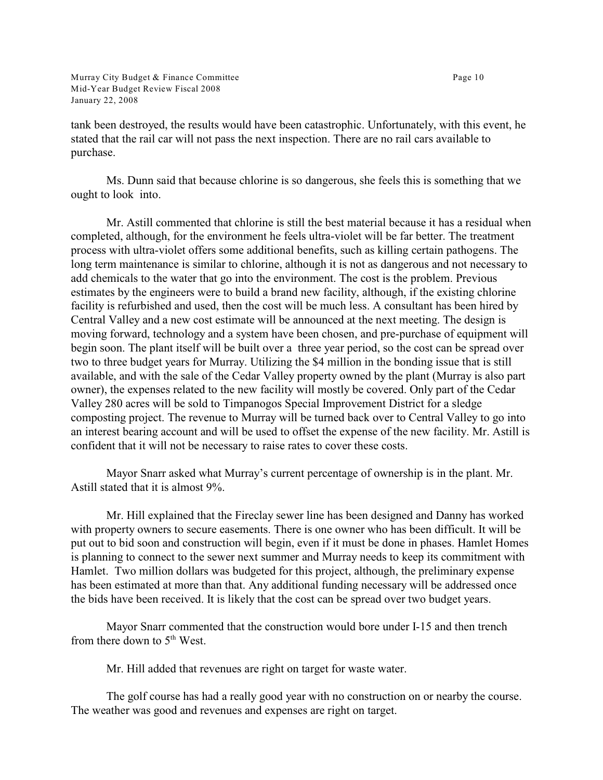Murray City Budget & Finance Committee Page 10 Mid-Year Budget Review Fiscal 2008 January 22, 2008

tank been destroyed, the results would have been catastrophic. Unfortunately, with this event, he stated that the rail car will not pass the next inspection. There are no rail cars available to purchase.

Ms. Dunn said that because chlorine is so dangerous, she feels this is something that we ought to look into.

Mr. Astill commented that chlorine is still the best material because it has a residual when completed, although, for the environment he feels ultra-violet will be far better. The treatment process with ultra-violet offers some additional benefits, such as killing certain pathogens. The long term maintenance is similar to chlorine, although it is not as dangerous and not necessary to add chemicals to the water that go into the environment. The cost is the problem. Previous estimates by the engineers were to build a brand new facility, although, if the existing chlorine facility is refurbished and used, then the cost will be much less. A consultant has been hired by Central Valley and a new cost estimate will be announced at the next meeting. The design is moving forward, technology and a system have been chosen, and pre-purchase of equipment will begin soon. The plant itself will be built over a three year period, so the cost can be spread over two to three budget years for Murray. Utilizing the \$4 million in the bonding issue that is still available, and with the sale of the Cedar Valley property owned by the plant (Murray is also part owner), the expenses related to the new facility will mostly be covered. Only part of the Cedar Valley 280 acres will be sold to Timpanogos Special Improvement District for a sledge composting project. The revenue to Murray will be turned back over to Central Valley to go into an interest bearing account and will be used to offset the expense of the new facility. Mr. Astill is confident that it will not be necessary to raise rates to cover these costs.

Mayor Snarr asked what Murray's current percentage of ownership is in the plant. Mr. Astill stated that it is almost 9%.

Mr. Hill explained that the Fireclay sewer line has been designed and Danny has worked with property owners to secure easements. There is one owner who has been difficult. It will be put out to bid soon and construction will begin, even if it must be done in phases. Hamlet Homes is planning to connect to the sewer next summer and Murray needs to keep its commitment with Hamlet. Two million dollars was budgeted for this project, although, the preliminary expense has been estimated at more than that. Any additional funding necessary will be addressed once the bids have been received. It is likely that the cost can be spread over two budget years.

Mayor Snarr commented that the construction would bore under I-15 and then trench from there down to  $5<sup>th</sup>$  West.

Mr. Hill added that revenues are right on target for waste water.

The golf course has had a really good year with no construction on or nearby the course. The weather was good and revenues and expenses are right on target.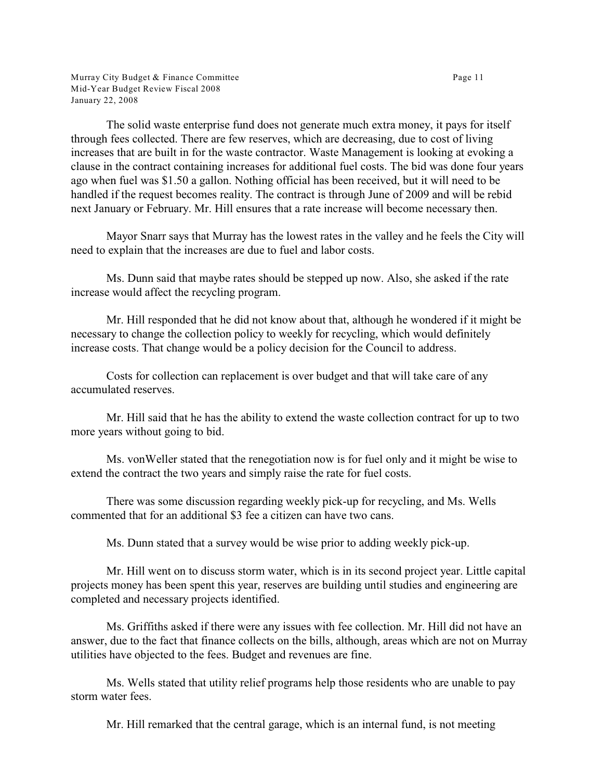Murray City Budget & Finance Committee Page 11 Mid-Year Budget Review Fiscal 2008 January 22, 2008

The solid waste enterprise fund does not generate much extra money, it pays for itself through fees collected. There are few reserves, which are decreasing, due to cost of living increases that are built in for the waste contractor. Waste Management is looking at evoking a clause in the contract containing increases for additional fuel costs. The bid was done four years ago when fuel was \$1.50 a gallon. Nothing official has been received, but it will need to be handled if the request becomes reality. The contract is through June of 2009 and will be rebid next January or February. Mr. Hill ensures that a rate increase will become necessary then.

Mayor Snarr says that Murray has the lowest rates in the valley and he feels the City will need to explain that the increases are due to fuel and labor costs.

Ms. Dunn said that maybe rates should be stepped up now. Also, she asked if the rate increase would affect the recycling program.

Mr. Hill responded that he did not know about that, although he wondered if it might be necessary to change the collection policy to weekly for recycling, which would definitely increase costs. That change would be a policy decision for the Council to address.

Costs for collection can replacement is over budget and that will take care of any accumulated reserves.

Mr. Hill said that he has the ability to extend the waste collection contract for up to two more years without going to bid.

Ms. vonWeller stated that the renegotiation now is for fuel only and it might be wise to extend the contract the two years and simply raise the rate for fuel costs.

There was some discussion regarding weekly pick-up for recycling, and Ms. Wells commented that for an additional \$3 fee a citizen can have two cans.

Ms. Dunn stated that a survey would be wise prior to adding weekly pick-up.

Mr. Hill went on to discuss storm water, which is in its second project year. Little capital projects money has been spent this year, reserves are building until studies and engineering are completed and necessary projects identified.

Ms. Griffiths asked if there were any issues with fee collection. Mr. Hill did not have an answer, due to the fact that finance collects on the bills, although, areas which are not on Murray utilities have objected to the fees. Budget and revenues are fine.

Ms. Wells stated that utility relief programs help those residents who are unable to pay storm water fees.

Mr. Hill remarked that the central garage, which is an internal fund, is not meeting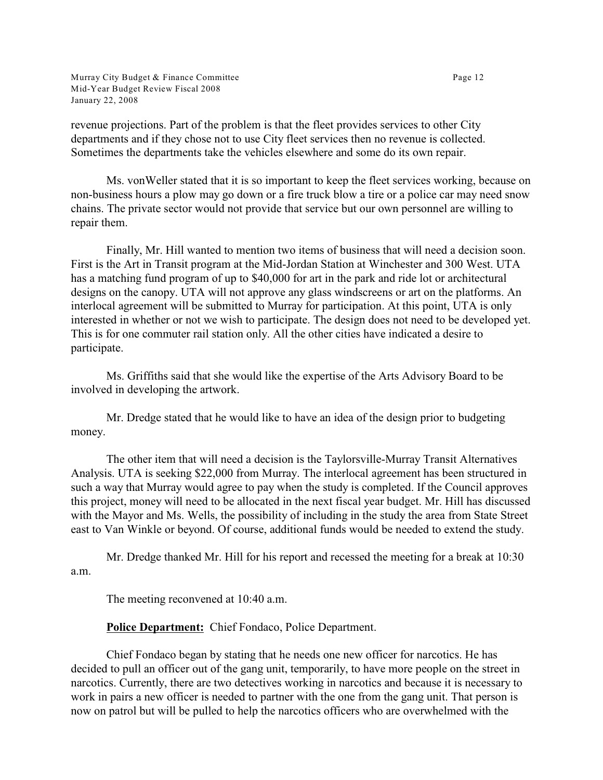Murray City Budget & Finance Committee Page 12 Mid-Year Budget Review Fiscal 2008 January 22, 2008

revenue projections. Part of the problem is that the fleet provides services to other City departments and if they chose not to use City fleet services then no revenue is collected. Sometimes the departments take the vehicles elsewhere and some do its own repair.

Ms. vonWeller stated that it is so important to keep the fleet services working, because on non-business hours a plow may go down or a fire truck blow a tire or a police car may need snow chains. The private sector would not provide that service but our own personnel are willing to repair them.

Finally, Mr. Hill wanted to mention two items of business that will need a decision soon. First is the Art in Transit program at the Mid-Jordan Station at Winchester and 300 West. UTA has a matching fund program of up to \$40,000 for art in the park and ride lot or architectural designs on the canopy. UTA will not approve any glass windscreens or art on the platforms. An interlocal agreement will be submitted to Murray for participation. At this point, UTA is only interested in whether or not we wish to participate. The design does not need to be developed yet. This is for one commuter rail station only. All the other cities have indicated a desire to participate.

Ms. Griffiths said that she would like the expertise of the Arts Advisory Board to be involved in developing the artwork.

Mr. Dredge stated that he would like to have an idea of the design prior to budgeting money.

The other item that will need a decision is the Taylorsville-Murray Transit Alternatives Analysis. UTA is seeking \$22,000 from Murray. The interlocal agreement has been structured in such a way that Murray would agree to pay when the study is completed. If the Council approves this project, money will need to be allocated in the next fiscal year budget. Mr. Hill has discussed with the Mayor and Ms. Wells, the possibility of including in the study the area from State Street east to Van Winkle or beyond. Of course, additional funds would be needed to extend the study.

Mr. Dredge thanked Mr. Hill for his report and recessed the meeting for a break at 10:30 a.m.

The meeting reconvened at 10:40 a.m.

## **Police Department:** Chief Fondaco, Police Department.

Chief Fondaco began by stating that he needs one new officer for narcotics. He has decided to pull an officer out of the gang unit, temporarily, to have more people on the street in narcotics. Currently, there are two detectives working in narcotics and because it is necessary to work in pairs a new officer is needed to partner with the one from the gang unit. That person is now on patrol but will be pulled to help the narcotics officers who are overwhelmed with the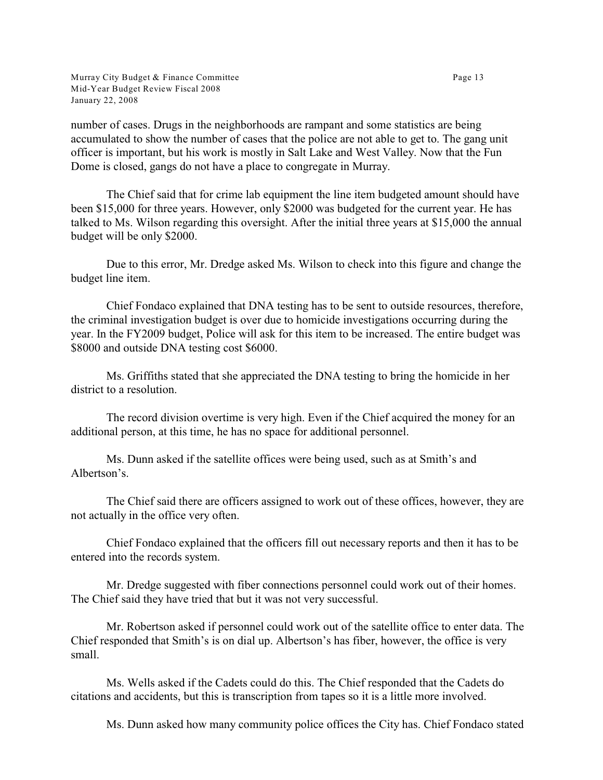Murray City Budget & Finance Committee Page 13 Mid-Year Budget Review Fiscal 2008 January 22, 2008

number of cases. Drugs in the neighborhoods are rampant and some statistics are being accumulated to show the number of cases that the police are not able to get to. The gang unit officer is important, but his work is mostly in Salt Lake and West Valley. Now that the Fun Dome is closed, gangs do not have a place to congregate in Murray.

The Chief said that for crime lab equipment the line item budgeted amount should have been \$15,000 for three years. However, only \$2000 was budgeted for the current year. He has talked to Ms. Wilson regarding this oversight. After the initial three years at \$15,000 the annual budget will be only \$2000.

Due to this error, Mr. Dredge asked Ms. Wilson to check into this figure and change the budget line item.

Chief Fondaco explained that DNA testing has to be sent to outside resources, therefore, the criminal investigation budget is over due to homicide investigations occurring during the year. In the FY2009 budget, Police will ask for this item to be increased. The entire budget was \$8000 and outside DNA testing cost \$6000.

Ms. Griffiths stated that she appreciated the DNA testing to bring the homicide in her district to a resolution.

The record division overtime is very high. Even if the Chief acquired the money for an additional person, at this time, he has no space for additional personnel.

Ms. Dunn asked if the satellite offices were being used, such as at Smith's and Albertson's.

The Chief said there are officers assigned to work out of these offices, however, they are not actually in the office very often.

Chief Fondaco explained that the officers fill out necessary reports and then it has to be entered into the records system.

Mr. Dredge suggested with fiber connections personnel could work out of their homes. The Chief said they have tried that but it was not very successful.

Mr. Robertson asked if personnel could work out of the satellite office to enter data. The Chief responded that Smith's is on dial up. Albertson's has fiber, however, the office is very small.

Ms. Wells asked if the Cadets could do this. The Chief responded that the Cadets do citations and accidents, but this is transcription from tapes so it is a little more involved.

Ms. Dunn asked how many community police offices the City has. Chief Fondaco stated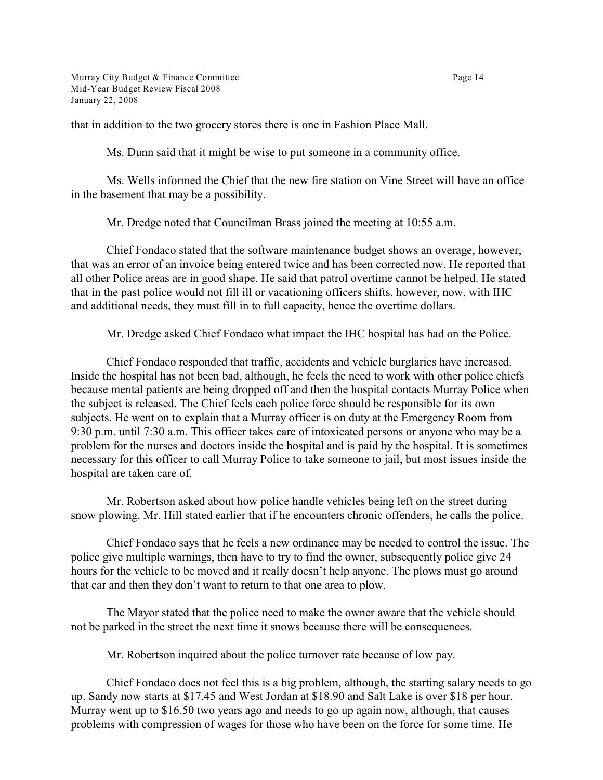Murray City Budget & Finance Committee Page 14 Mid-Year Budget Review Fiscal 2008 January 22, 2008

that in addition to the two grocery stores there is one in Fashion Place Mall.

Ms. Dunn said that it might be wise to put someone in a community office.

Ms. Wells informed the Chief that the new fire station on Vine Street will have an office in the basement that may be a possibility.

Mr. Dredge noted that Councilman Brass joined the meeting at 10:55 a.m.

Chief Fondaco stated that the software maintenance budget shows an overage, however, that was an error of an invoice being entered twice and has been corrected now. He reported that all other Police areas are in good shape. He said that patrol overtime cannot be helped. He stated that in the past police would not fill ill or vacationing officers shifts, however, now, with IHC and additional needs, they must fill in to full capacity, hence the overtime dollars.

Mr. Dredge asked Chief Fondaco what impact the IHC hospital has had on the Police.

Chief Fondaco responded that traffic, accidents and vehicle burglaries have increased. Inside the hospital has not been bad, although, he feels the need to work with other police chiefs because mental patients are being dropped off and then the hospital contacts Murray Police when the subject is released. The Chief feels each police force should be responsible for its own subjects. He went on to explain that a Murray officer is on duty at the Emergency Room from 9:30 p.m. until 7:30 a.m. This officer takes care of intoxicated persons or anyone who may be a problem for the nurses and doctors inside the hospital and is paid by the hospital. It is sometimes necessary for this officer to call Murray Police to take someone to jail, but most issues inside the hospital are taken care of.

Mr. Robertson asked about how police handle vehicles being left on the street during snow plowing. Mr. Hill stated earlier that if he encounters chronic offenders, he calls the police.

Chief Fondaco says that he feels a new ordinance may be needed to control the issue. The police give multiple warnings, then have to try to find the owner, subsequently police give 24 hours for the vehicle to be moved and it really doesn't help anyone. The plows must go around that car and then they don't want to return to that one area to plow.

The Mayor stated that the police need to make the owner aware that the vehicle should not be parked in the street the next time it snows because there will be consequences.

Mr. Robertson inquired about the police turnover rate because of low pay.

Chief Fondaco does not feel this is a big problem, although, the starting salary needs to go up. Sandy now starts at \$17.45 and West Jordan at \$18.90 and Salt Lake is over \$18 per hour. Murray went up to \$16.50 two years ago and needs to go up again now, although, that causes problems with compression of wages for those who have been on the force for some time. He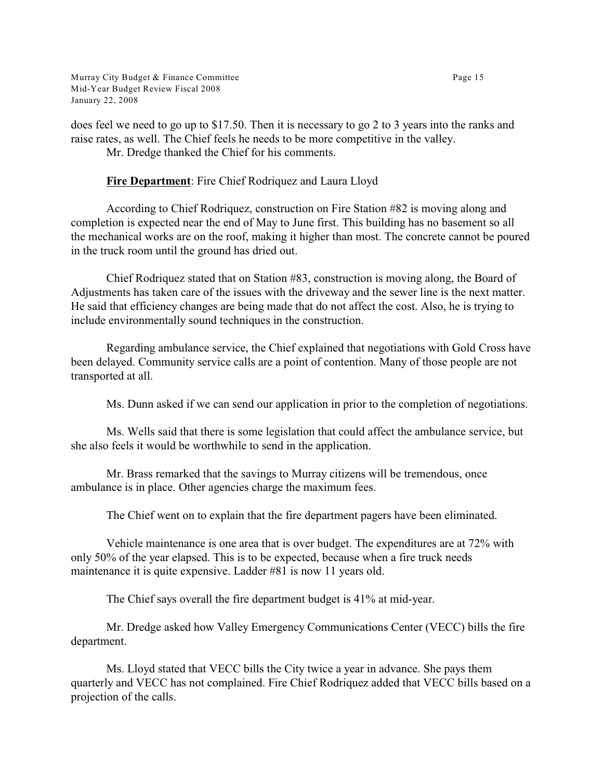Murray City Budget & Finance Committee Page 15 Mid-Year Budget Review Fiscal 2008 January 22, 2008

does feel we need to go up to \$17.50. Then it is necessary to go 2 to 3 years into the ranks and raise rates, as well. The Chief feels he needs to be more competitive in the valley.

Mr. Dredge thanked the Chief for his comments.

## **Fire Department**: Fire Chief Rodriquez and Laura Lloyd

According to Chief Rodriquez, construction on Fire Station #82 is moving along and completion is expected near the end of May to June first. This building has no basement so all the mechanical works are on the roof, making it higher than most. The concrete cannot be poured in the truck room until the ground has dried out.

Chief Rodriquez stated that on Station #83, construction is moving along, the Board of Adjustments has taken care of the issues with the driveway and the sewer line is the next matter. He said that efficiency changes are being made that do not affect the cost. Also, he is trying to include environmentally sound techniques in the construction.

Regarding ambulance service, the Chief explained that negotiations with Gold Cross have been delayed. Community service calls are a point of contention. Many of those people are not transported at all.

Ms. Dunn asked if we can send our application in prior to the completion of negotiations.

Ms. Wells said that there is some legislation that could affect the ambulance service, but she also feels it would be worthwhile to send in the application.

Mr. Brass remarked that the savings to Murray citizens will be tremendous, once ambulance is in place. Other agencies charge the maximum fees.

The Chief went on to explain that the fire department pagers have been eliminated.

Vehicle maintenance is one area that is over budget. The expenditures are at 72% with only 50% of the year elapsed. This is to be expected, because when a fire truck needs maintenance it is quite expensive. Ladder #81 is now 11 years old.

The Chief says overall the fire department budget is 41% at mid-year.

Mr. Dredge asked how Valley Emergency Communications Center (VECC) bills the fire department.

Ms. Lloyd stated that VECC bills the City twice a year in advance. She pays them quarterly and VECC has not complained. Fire Chief Rodriquez added that VECC bills based on a projection of the calls.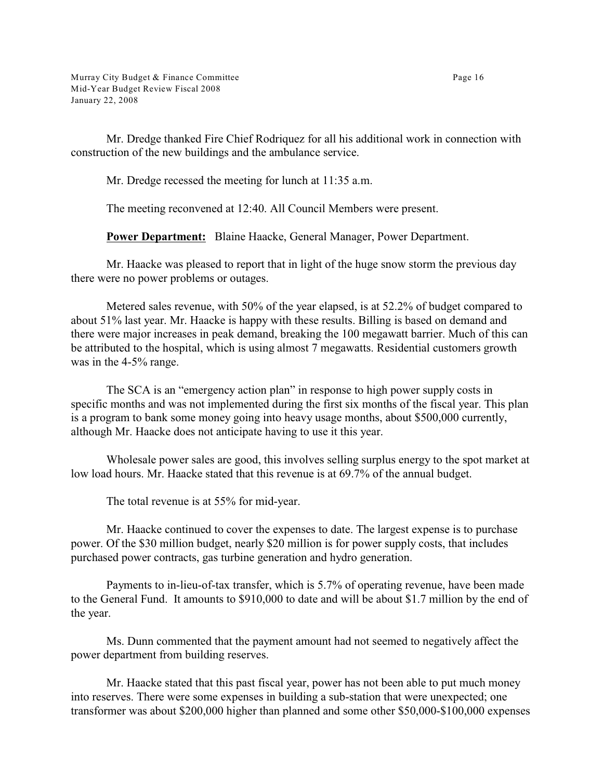Mr. Dredge thanked Fire Chief Rodriquez for all his additional work in connection with construction of the new buildings and the ambulance service.

Mr. Dredge recessed the meeting for lunch at 11:35 a.m.

The meeting reconvened at 12:40. All Council Members were present.

**Power Department:** Blaine Haacke, General Manager, Power Department.

Mr. Haacke was pleased to report that in light of the huge snow storm the previous day there were no power problems or outages.

Metered sales revenue, with 50% of the year elapsed, is at 52.2% of budget compared to about 51% last year. Mr. Haacke is happy with these results. Billing is based on demand and there were major increases in peak demand, breaking the 100 megawatt barrier. Much of this can be attributed to the hospital, which is using almost 7 megawatts. Residential customers growth was in the 4-5% range.

The SCA is an "emergency action plan" in response to high power supply costs in specific months and was not implemented during the first six months of the fiscal year. This plan is a program to bank some money going into heavy usage months, about \$500,000 currently, although Mr. Haacke does not anticipate having to use it this year.

Wholesale power sales are good, this involves selling surplus energy to the spot market at low load hours. Mr. Haacke stated that this revenue is at 69.7% of the annual budget.

The total revenue is at 55% for mid-year.

Mr. Haacke continued to cover the expenses to date. The largest expense is to purchase power. Of the \$30 million budget, nearly \$20 million is for power supply costs, that includes purchased power contracts, gas turbine generation and hydro generation.

Payments to in-lieu-of-tax transfer, which is 5.7% of operating revenue, have been made to the General Fund. It amounts to \$910,000 to date and will be about \$1.7 million by the end of the year.

Ms. Dunn commented that the payment amount had not seemed to negatively affect the power department from building reserves.

Mr. Haacke stated that this past fiscal year, power has not been able to put much money into reserves. There were some expenses in building a sub-station that were unexpected; one transformer was about \$200,000 higher than planned and some other \$50,000-\$100,000 expenses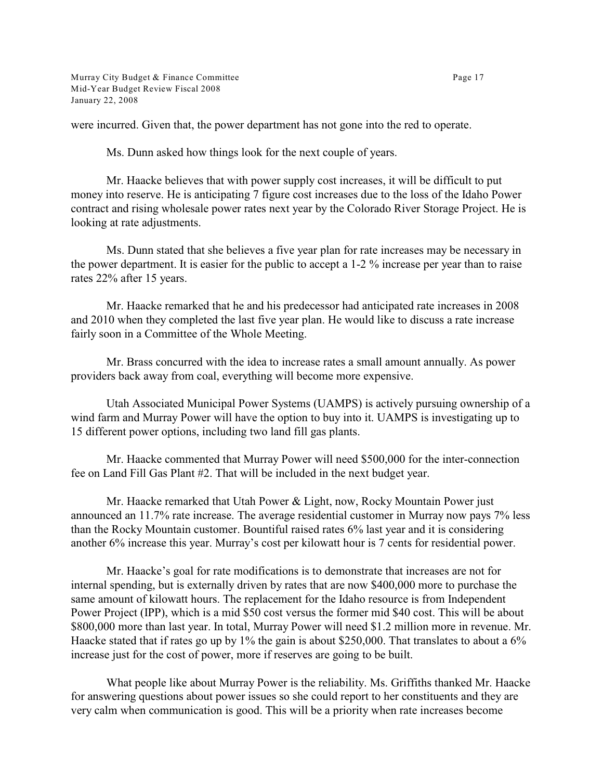Murray City Budget & Finance Committee Page 17 Mid-Year Budget Review Fiscal 2008 January 22, 2008

were incurred. Given that, the power department has not gone into the red to operate.

Ms. Dunn asked how things look for the next couple of years.

Mr. Haacke believes that with power supply cost increases, it will be difficult to put money into reserve. He is anticipating 7 figure cost increases due to the loss of the Idaho Power contract and rising wholesale power rates next year by the Colorado River Storage Project. He is looking at rate adjustments.

Ms. Dunn stated that she believes a five year plan for rate increases may be necessary in the power department. It is easier for the public to accept a 1-2 % increase per year than to raise rates 22% after 15 years.

Mr. Haacke remarked that he and his predecessor had anticipated rate increases in 2008 and 2010 when they completed the last five year plan. He would like to discuss a rate increase fairly soon in a Committee of the Whole Meeting.

Mr. Brass concurred with the idea to increase rates a small amount annually. As power providers back away from coal, everything will become more expensive.

Utah Associated Municipal Power Systems (UAMPS) is actively pursuing ownership of a wind farm and Murray Power will have the option to buy into it. UAMPS is investigating up to 15 different power options, including two land fill gas plants.

Mr. Haacke commented that Murray Power will need \$500,000 for the inter-connection fee on Land Fill Gas Plant #2. That will be included in the next budget year.

Mr. Haacke remarked that Utah Power & Light, now, Rocky Mountain Power just announced an 11.7% rate increase. The average residential customer in Murray now pays 7% less than the Rocky Mountain customer. Bountiful raised rates 6% last year and it is considering another 6% increase this year. Murray's cost per kilowatt hour is 7 cents for residential power.

Mr. Haacke's goal for rate modifications is to demonstrate that increases are not for internal spending, but is externally driven by rates that are now \$400,000 more to purchase the same amount of kilowatt hours. The replacement for the Idaho resource is from Independent Power Project (IPP), which is a mid \$50 cost versus the former mid \$40 cost. This will be about \$800,000 more than last year. In total, Murray Power will need \$1.2 million more in revenue. Mr. Haacke stated that if rates go up by 1% the gain is about \$250,000. That translates to about a 6% increase just for the cost of power, more if reserves are going to be built.

What people like about Murray Power is the reliability. Ms. Griffiths thanked Mr. Haacke for answering questions about power issues so she could report to her constituents and they are very calm when communication is good. This will be a priority when rate increases become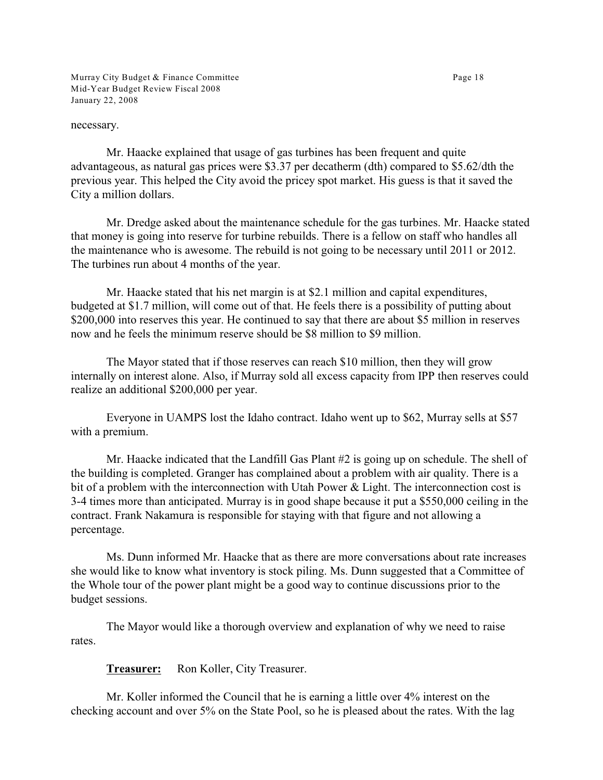Murray City Budget & Finance Committee Page 18 Mid-Year Budget Review Fiscal 2008 January 22, 2008

necessary.

Mr. Haacke explained that usage of gas turbines has been frequent and quite advantageous, as natural gas prices were \$3.37 per decatherm (dth) compared to \$5.62/dth the previous year. This helped the City avoid the pricey spot market. His guess is that it saved the City a million dollars.

Mr. Dredge asked about the maintenance schedule for the gas turbines. Mr. Haacke stated that money is going into reserve for turbine rebuilds. There is a fellow on staff who handles all the maintenance who is awesome. The rebuild is not going to be necessary until 2011 or 2012. The turbines run about 4 months of the year.

Mr. Haacke stated that his net margin is at \$2.1 million and capital expenditures, budgeted at \$1.7 million, will come out of that. He feels there is a possibility of putting about \$200,000 into reserves this year. He continued to say that there are about \$5 million in reserves now and he feels the minimum reserve should be \$8 million to \$9 million.

The Mayor stated that if those reserves can reach \$10 million, then they will grow internally on interest alone. Also, if Murray sold all excess capacity from IPP then reserves could realize an additional \$200,000 per year.

Everyone in UAMPS lost the Idaho contract. Idaho went up to \$62, Murray sells at \$57 with a premium.

Mr. Haacke indicated that the Landfill Gas Plant #2 is going up on schedule. The shell of the building is completed. Granger has complained about a problem with air quality. There is a bit of a problem with the interconnection with Utah Power & Light. The interconnection cost is 3-4 times more than anticipated. Murray is in good shape because it put a \$550,000 ceiling in the contract. Frank Nakamura is responsible for staying with that figure and not allowing a percentage.

Ms. Dunn informed Mr. Haacke that as there are more conversations about rate increases she would like to know what inventory is stock piling. Ms. Dunn suggested that a Committee of the Whole tour of the power plant might be a good way to continue discussions prior to the budget sessions.

The Mayor would like a thorough overview and explanation of why we need to raise rates.

**Treasurer:** Ron Koller, City Treasurer.

Mr. Koller informed the Council that he is earning a little over 4% interest on the checking account and over 5% on the State Pool, so he is pleased about the rates. With the lag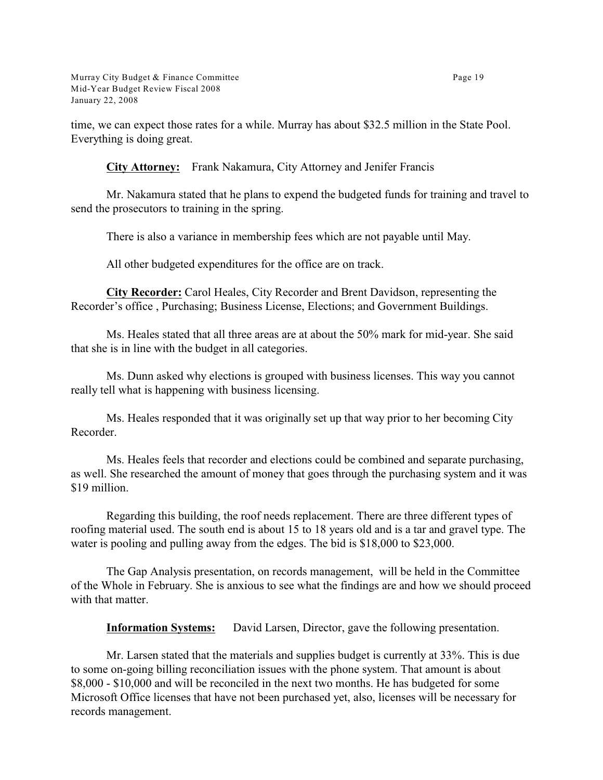time, we can expect those rates for a while. Murray has about \$32.5 million in the State Pool. Everything is doing great.

**City Attorney:** Frank Nakamura, City Attorney and Jenifer Francis

Mr. Nakamura stated that he plans to expend the budgeted funds for training and travel to send the prosecutors to training in the spring.

There is also a variance in membership fees which are not payable until May.

All other budgeted expenditures for the office are on track.

**City Recorder:** Carol Heales, City Recorder and Brent Davidson, representing the Recorder's office , Purchasing; Business License, Elections; and Government Buildings.

Ms. Heales stated that all three areas are at about the 50% mark for mid-year. She said that she is in line with the budget in all categories.

Ms. Dunn asked why elections is grouped with business licenses. This way you cannot really tell what is happening with business licensing.

Ms. Heales responded that it was originally set up that way prior to her becoming City Recorder.

Ms. Heales feels that recorder and elections could be combined and separate purchasing, as well. She researched the amount of money that goes through the purchasing system and it was \$19 million.

Regarding this building, the roof needs replacement. There are three different types of roofing material used. The south end is about 15 to 18 years old and is a tar and gravel type. The water is pooling and pulling away from the edges. The bid is \$18,000 to \$23,000.

The Gap Analysis presentation, on records management, will be held in the Committee of the Whole in February. She is anxious to see what the findings are and how we should proceed with that matter.

**Information Systems:** David Larsen, Director, gave the following presentation.

Mr. Larsen stated that the materials and supplies budget is currently at 33%. This is due to some on-going billing reconciliation issues with the phone system. That amount is about \$8,000 - \$10,000 and will be reconciled in the next two months. He has budgeted for some Microsoft Office licenses that have not been purchased yet, also, licenses will be necessary for records management.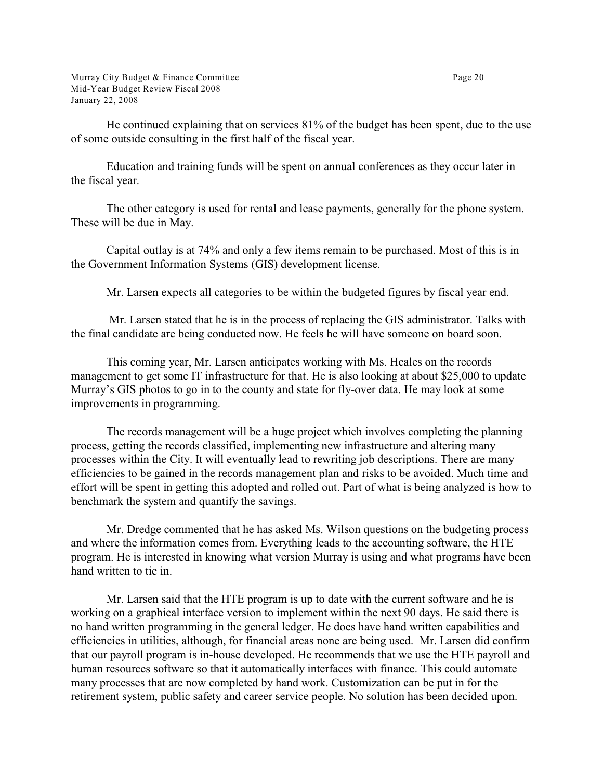Murray City Budget & Finance Committee Page 20 Mid-Year Budget Review Fiscal 2008 January 22, 2008

He continued explaining that on services 81% of the budget has been spent, due to the use of some outside consulting in the first half of the fiscal year.

Education and training funds will be spent on annual conferences as they occur later in the fiscal year.

The other category is used for rental and lease payments, generally for the phone system. These will be due in May.

Capital outlay is at 74% and only a few items remain to be purchased. Most of this is in the Government Information Systems (GIS) development license.

Mr. Larsen expects all categories to be within the budgeted figures by fiscal year end.

 Mr. Larsen stated that he is in the process of replacing the GIS administrator. Talks with the final candidate are being conducted now. He feels he will have someone on board soon.

This coming year, Mr. Larsen anticipates working with Ms. Heales on the records management to get some IT infrastructure for that. He is also looking at about \$25,000 to update Murray's GIS photos to go in to the county and state for fly-over data. He may look at some improvements in programming.

The records management will be a huge project which involves completing the planning process, getting the records classified, implementing new infrastructure and altering many processes within the City. It will eventually lead to rewriting job descriptions. There are many efficiencies to be gained in the records management plan and risks to be avoided. Much time and effort will be spent in getting this adopted and rolled out. Part of what is being analyzed is how to benchmark the system and quantify the savings.

Mr. Dredge commented that he has asked Ms. Wilson questions on the budgeting process and where the information comes from. Everything leads to the accounting software, the HTE program. He is interested in knowing what version Murray is using and what programs have been hand written to tie in.

Mr. Larsen said that the HTE program is up to date with the current software and he is working on a graphical interface version to implement within the next 90 days. He said there is no hand written programming in the general ledger. He does have hand written capabilities and efficiencies in utilities, although, for financial areas none are being used. Mr. Larsen did confirm that our payroll program is in-house developed. He recommends that we use the HTE payroll and human resources software so that it automatically interfaces with finance. This could automate many processes that are now completed by hand work. Customization can be put in for the retirement system, public safety and career service people. No solution has been decided upon.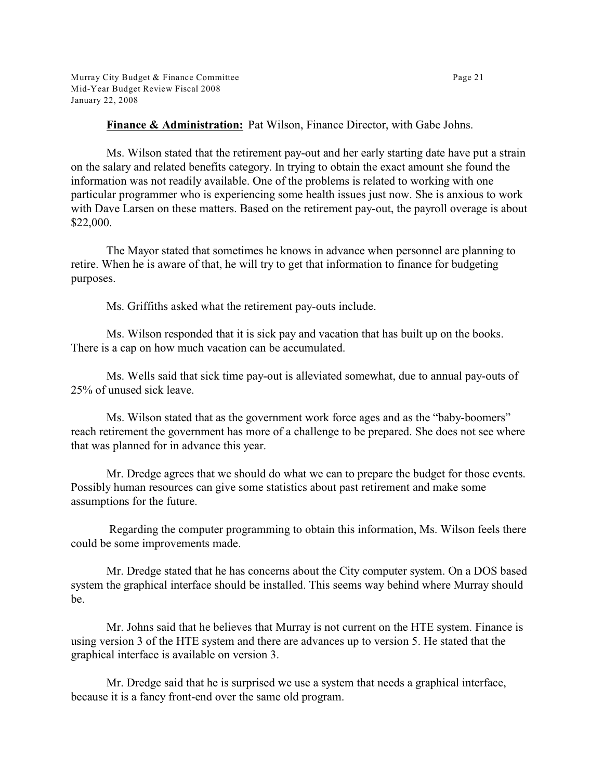**Finance & Administration:** Pat Wilson, Finance Director, with Gabe Johns.

Ms. Wilson stated that the retirement pay-out and her early starting date have put a strain on the salary and related benefits category. In trying to obtain the exact amount she found the information was not readily available. One of the problems is related to working with one particular programmer who is experiencing some health issues just now. She is anxious to work with Dave Larsen on these matters. Based on the retirement pay-out, the payroll overage is about \$22,000.

The Mayor stated that sometimes he knows in advance when personnel are planning to retire. When he is aware of that, he will try to get that information to finance for budgeting purposes.

Ms. Griffiths asked what the retirement pay-outs include.

Ms. Wilson responded that it is sick pay and vacation that has built up on the books. There is a cap on how much vacation can be accumulated.

Ms. Wells said that sick time pay-out is alleviated somewhat, due to annual pay-outs of 25% of unused sick leave.

Ms. Wilson stated that as the government work force ages and as the "baby-boomers" reach retirement the government has more of a challenge to be prepared. She does not see where that was planned for in advance this year.

Mr. Dredge agrees that we should do what we can to prepare the budget for those events. Possibly human resources can give some statistics about past retirement and make some assumptions for the future.

 Regarding the computer programming to obtain this information, Ms. Wilson feels there could be some improvements made.

Mr. Dredge stated that he has concerns about the City computer system. On a DOS based system the graphical interface should be installed. This seems way behind where Murray should be.

Mr. Johns said that he believes that Murray is not current on the HTE system. Finance is using version 3 of the HTE system and there are advances up to version 5. He stated that the graphical interface is available on version 3.

Mr. Dredge said that he is surprised we use a system that needs a graphical interface, because it is a fancy front-end over the same old program.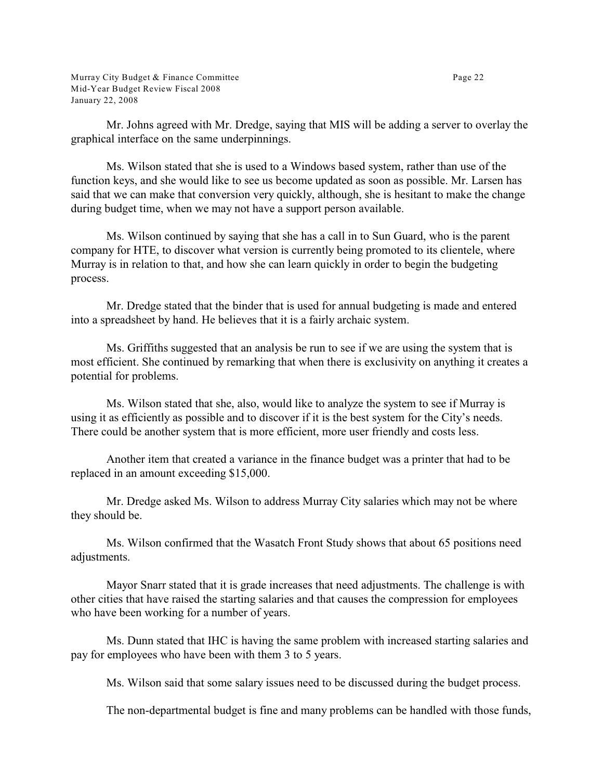Mr. Johns agreed with Mr. Dredge, saying that MIS will be adding a server to overlay the graphical interface on the same underpinnings.

Ms. Wilson stated that she is used to a Windows based system, rather than use of the function keys, and she would like to see us become updated as soon as possible. Mr. Larsen has said that we can make that conversion very quickly, although, she is hesitant to make the change during budget time, when we may not have a support person available.

Ms. Wilson continued by saying that she has a call in to Sun Guard, who is the parent company for HTE, to discover what version is currently being promoted to its clientele, where Murray is in relation to that, and how she can learn quickly in order to begin the budgeting process.

Mr. Dredge stated that the binder that is used for annual budgeting is made and entered into a spreadsheet by hand. He believes that it is a fairly archaic system.

Ms. Griffiths suggested that an analysis be run to see if we are using the system that is most efficient. She continued by remarking that when there is exclusivity on anything it creates a potential for problems.

Ms. Wilson stated that she, also, would like to analyze the system to see if Murray is using it as efficiently as possible and to discover if it is the best system for the City's needs. There could be another system that is more efficient, more user friendly and costs less.

Another item that created a variance in the finance budget was a printer that had to be replaced in an amount exceeding \$15,000.

Mr. Dredge asked Ms. Wilson to address Murray City salaries which may not be where they should be.

Ms. Wilson confirmed that the Wasatch Front Study shows that about 65 positions need adjustments.

Mayor Snarr stated that it is grade increases that need adjustments. The challenge is with other cities that have raised the starting salaries and that causes the compression for employees who have been working for a number of years.

Ms. Dunn stated that IHC is having the same problem with increased starting salaries and pay for employees who have been with them 3 to 5 years.

Ms. Wilson said that some salary issues need to be discussed during the budget process.

The non-departmental budget is fine and many problems can be handled with those funds,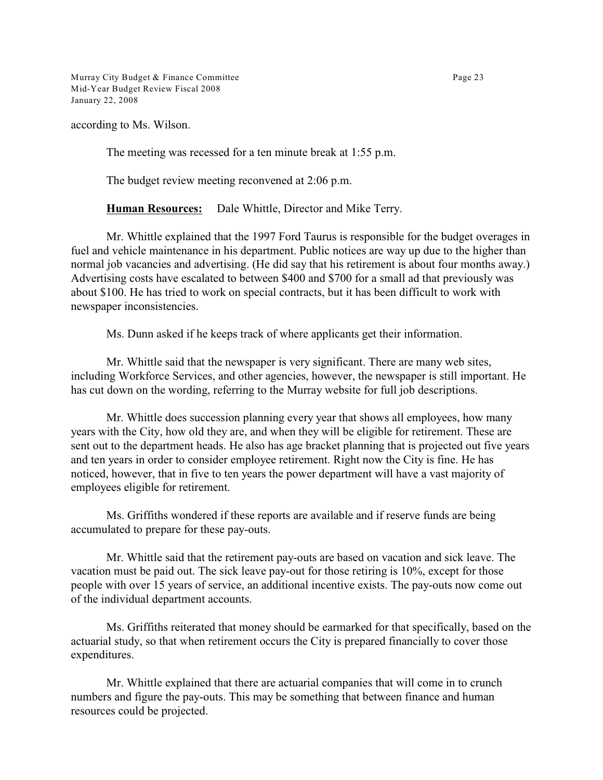Murray City Budget & Finance Committee Page 23 Mid-Year Budget Review Fiscal 2008 January 22, 2008

according to Ms. Wilson.

The meeting was recessed for a ten minute break at 1:55 p.m.

The budget review meeting reconvened at 2:06 p.m.

**Human Resources:** Dale Whittle, Director and Mike Terry.

Mr. Whittle explained that the 1997 Ford Taurus is responsible for the budget overages in fuel and vehicle maintenance in his department. Public notices are way up due to the higher than normal job vacancies and advertising. (He did say that his retirement is about four months away.) Advertising costs have escalated to between \$400 and \$700 for a small ad that previously was about \$100. He has tried to work on special contracts, but it has been difficult to work with newspaper inconsistencies.

Ms. Dunn asked if he keeps track of where applicants get their information.

Mr. Whittle said that the newspaper is very significant. There are many web sites, including Workforce Services, and other agencies, however, the newspaper is still important. He has cut down on the wording, referring to the Murray website for full job descriptions.

Mr. Whittle does succession planning every year that shows all employees, how many years with the City, how old they are, and when they will be eligible for retirement. These are sent out to the department heads. He also has age bracket planning that is projected out five years and ten years in order to consider employee retirement. Right now the City is fine. He has noticed, however, that in five to ten years the power department will have a vast majority of employees eligible for retirement.

Ms. Griffiths wondered if these reports are available and if reserve funds are being accumulated to prepare for these pay-outs.

Mr. Whittle said that the retirement pay-outs are based on vacation and sick leave. The vacation must be paid out. The sick leave pay-out for those retiring is 10%, except for those people with over 15 years of service, an additional incentive exists. The pay-outs now come out of the individual department accounts.

Ms. Griffiths reiterated that money should be earmarked for that specifically, based on the actuarial study, so that when retirement occurs the City is prepared financially to cover those expenditures.

Mr. Whittle explained that there are actuarial companies that will come in to crunch numbers and figure the pay-outs. This may be something that between finance and human resources could be projected.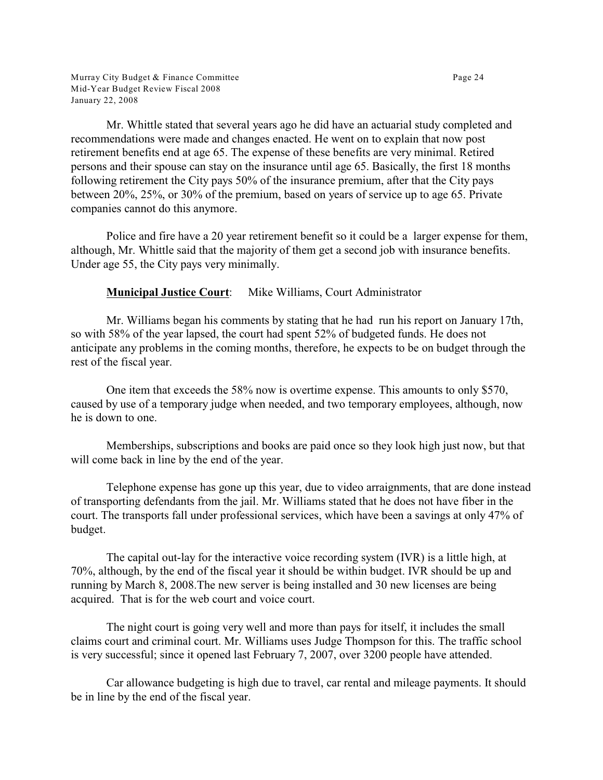Murray City Budget & Finance Committee Page 24 Mid-Year Budget Review Fiscal 2008 January 22, 2008

Mr. Whittle stated that several years ago he did have an actuarial study completed and recommendations were made and changes enacted. He went on to explain that now post retirement benefits end at age 65. The expense of these benefits are very minimal. Retired persons and their spouse can stay on the insurance until age 65. Basically, the first 18 months following retirement the City pays 50% of the insurance premium, after that the City pays between 20%, 25%, or 30% of the premium, based on years of service up to age 65. Private companies cannot do this anymore.

Police and fire have a 20 year retirement benefit so it could be a larger expense for them, although, Mr. Whittle said that the majority of them get a second job with insurance benefits. Under age 55, the City pays very minimally.

**Municipal Justice Court**: Mike Williams, Court Administrator

Mr. Williams began his comments by stating that he had run his report on January 17th, so with 58% of the year lapsed, the court had spent 52% of budgeted funds. He does not anticipate any problems in the coming months, therefore, he expects to be on budget through the rest of the fiscal year.

One item that exceeds the 58% now is overtime expense. This amounts to only \$570, caused by use of a temporary judge when needed, and two temporary employees, although, now he is down to one.

Memberships, subscriptions and books are paid once so they look high just now, but that will come back in line by the end of the year.

Telephone expense has gone up this year, due to video arraignments, that are done instead of transporting defendants from the jail. Mr. Williams stated that he does not have fiber in the court. The transports fall under professional services, which have been a savings at only 47% of budget.

The capital out-lay for the interactive voice recording system (IVR) is a little high, at 70%, although, by the end of the fiscal year it should be within budget. IVR should be up and running by March 8, 2008.The new server is being installed and 30 new licenses are being acquired. That is for the web court and voice court.

The night court is going very well and more than pays for itself, it includes the small claims court and criminal court. Mr. Williams uses Judge Thompson for this. The traffic school is very successful; since it opened last February 7, 2007, over 3200 people have attended.

Car allowance budgeting is high due to travel, car rental and mileage payments. It should be in line by the end of the fiscal year.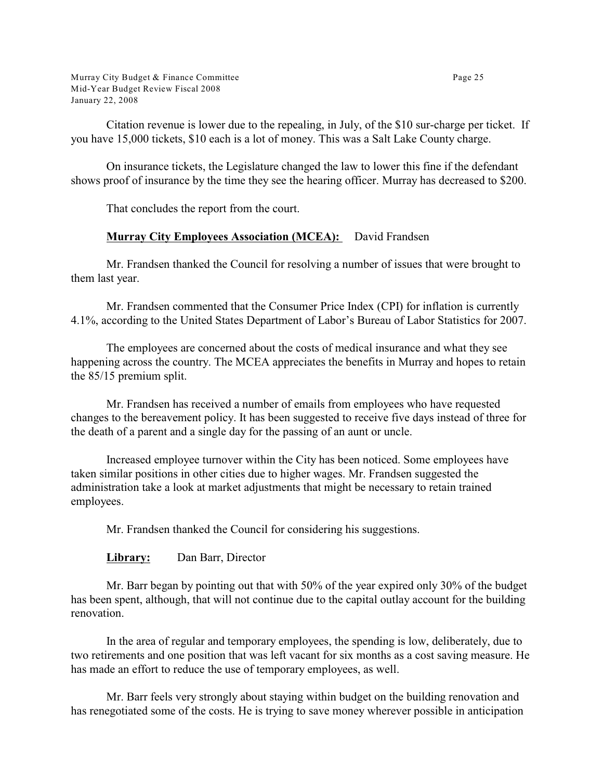Murray City Budget & Finance Committee **Page 25** Mid-Year Budget Review Fiscal 2008 January 22, 2008

Citation revenue is lower due to the repealing, in July, of the \$10 sur-charge per ticket. If you have 15,000 tickets, \$10 each is a lot of money. This was a Salt Lake County charge.

On insurance tickets, the Legislature changed the law to lower this fine if the defendant shows proof of insurance by the time they see the hearing officer. Murray has decreased to \$200.

That concludes the report from the court.

## **Murray City Employees Association (MCEA):** David Frandsen

Mr. Frandsen thanked the Council for resolving a number of issues that were brought to them last year.

Mr. Frandsen commented that the Consumer Price Index (CPI) for inflation is currently 4.1%, according to the United States Department of Labor's Bureau of Labor Statistics for 2007.

The employees are concerned about the costs of medical insurance and what they see happening across the country. The MCEA appreciates the benefits in Murray and hopes to retain the 85/15 premium split.

Mr. Frandsen has received a number of emails from employees who have requested changes to the bereavement policy. It has been suggested to receive five days instead of three for the death of a parent and a single day for the passing of an aunt or uncle.

Increased employee turnover within the City has been noticed. Some employees have taken similar positions in other cities due to higher wages. Mr. Frandsen suggested the administration take a look at market adjustments that might be necessary to retain trained employees.

Mr. Frandsen thanked the Council for considering his suggestions.

**Library:** Dan Barr, Director

Mr. Barr began by pointing out that with 50% of the year expired only 30% of the budget has been spent, although, that will not continue due to the capital outlay account for the building renovation.

In the area of regular and temporary employees, the spending is low, deliberately, due to two retirements and one position that was left vacant for six months as a cost saving measure. He has made an effort to reduce the use of temporary employees, as well.

Mr. Barr feels very strongly about staying within budget on the building renovation and has renegotiated some of the costs. He is trying to save money wherever possible in anticipation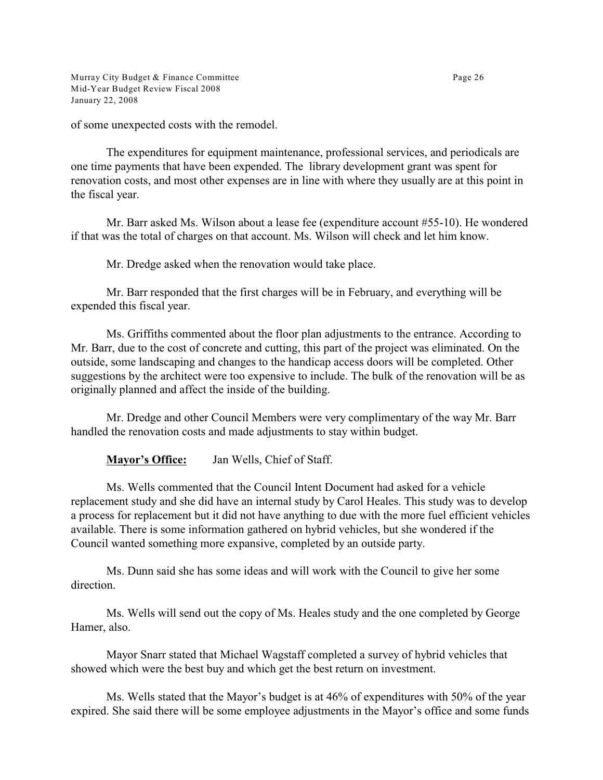Murray City Budget & Finance Committee Page 26 Mid-Year Budget Review Fiscal 2008 January 22, 2008

of some unexpected costs with the remodel.

The expenditures for equipment maintenance, professional services, and periodicals are one time payments that have been expended. The library development grant was spent for renovation costs, and most other expenses are in line with where they usually are at this point in the fiscal year.

Mr. Barr asked Ms. Wilson about a lease fee (expenditure account #55-10). He wondered if that was the total of charges on that account. Ms. Wilson will check and let him know.

Mr. Dredge asked when the renovation would take place.

Mr. Barr responded that the first charges will be in February, and everything will be expended this fiscal year.

Ms. Griffiths commented about the floor plan adjustments to the entrance. According to Mr. Barr, due to the cost of concrete and cutting, this part of the project was eliminated. On the outside, some landscaping and changes to the handicap access doors will be completed. Other suggestions by the architect were too expensive to include. The bulk of the renovation will be as originally planned and affect the inside of the building.

Mr. Dredge and other Council Members were very complimentary of the way Mr. Barr handled the renovation costs and made adjustments to stay within budget.

**Mayor's Office:** Jan Wells, Chief of Staff.

Ms. Wells commented that the Council Intent Document had asked for a vehicle replacement study and she did have an internal study by Carol Heales. This study was to develop a process for replacement but it did not have anything to due with the more fuel efficient vehicles available. There is some information gathered on hybrid vehicles, but she wondered if the Council wanted something more expansive, completed by an outside party.

Ms. Dunn said she has some ideas and will work with the Council to give her some direction.

Ms. Wells will send out the copy of Ms. Heales study and the one completed by George Hamer, also.

Mayor Snarr stated that Michael Wagstaff completed a survey of hybrid vehicles that showed which were the best buy and which get the best return on investment.

Ms. Wells stated that the Mayor's budget is at 46% of expenditures with 50% of the year expired. She said there will be some employee adjustments in the Mayor's office and some funds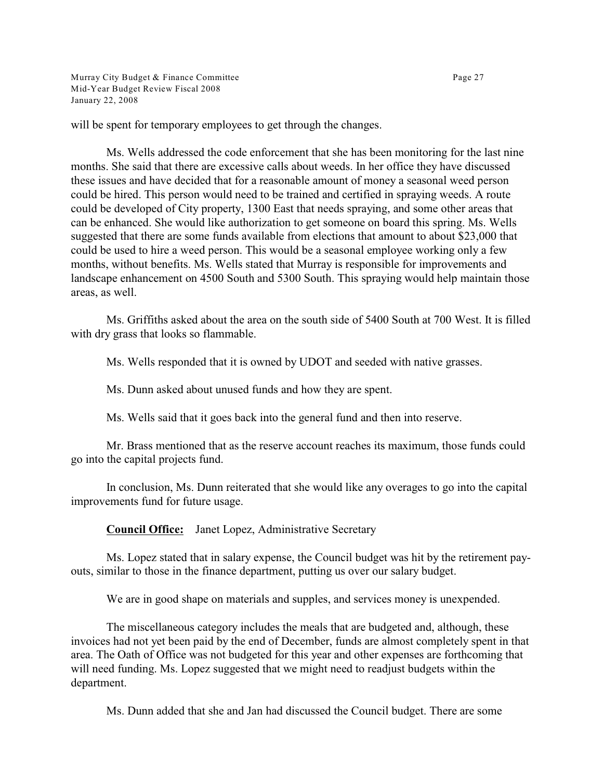Murray City Budget & Finance Committee **Page 27** Mid-Year Budget Review Fiscal 2008 January 22, 2008

will be spent for temporary employees to get through the changes.

Ms. Wells addressed the code enforcement that she has been monitoring for the last nine months. She said that there are excessive calls about weeds. In her office they have discussed these issues and have decided that for a reasonable amount of money a seasonal weed person could be hired. This person would need to be trained and certified in spraying weeds. A route could be developed of City property, 1300 East that needs spraying, and some other areas that can be enhanced. She would like authorization to get someone on board this spring. Ms. Wells suggested that there are some funds available from elections that amount to about \$23,000 that could be used to hire a weed person. This would be a seasonal employee working only a few months, without benefits. Ms. Wells stated that Murray is responsible for improvements and landscape enhancement on 4500 South and 5300 South. This spraying would help maintain those areas, as well.

Ms. Griffiths asked about the area on the south side of 5400 South at 700 West. It is filled with dry grass that looks so flammable.

Ms. Wells responded that it is owned by UDOT and seeded with native grasses.

Ms. Dunn asked about unused funds and how they are spent.

Ms. Wells said that it goes back into the general fund and then into reserve.

Mr. Brass mentioned that as the reserve account reaches its maximum, those funds could go into the capital projects fund.

In conclusion, Ms. Dunn reiterated that she would like any overages to go into the capital improvements fund for future usage.

**Council Office:** Janet Lopez, Administrative Secretary

Ms. Lopez stated that in salary expense, the Council budget was hit by the retirement payouts, similar to those in the finance department, putting us over our salary budget.

We are in good shape on materials and supples, and services money is unexpended.

The miscellaneous category includes the meals that are budgeted and, although, these invoices had not yet been paid by the end of December, funds are almost completely spent in that area. The Oath of Office was not budgeted for this year and other expenses are forthcoming that will need funding. Ms. Lopez suggested that we might need to readjust budgets within the department.

Ms. Dunn added that she and Jan had discussed the Council budget. There are some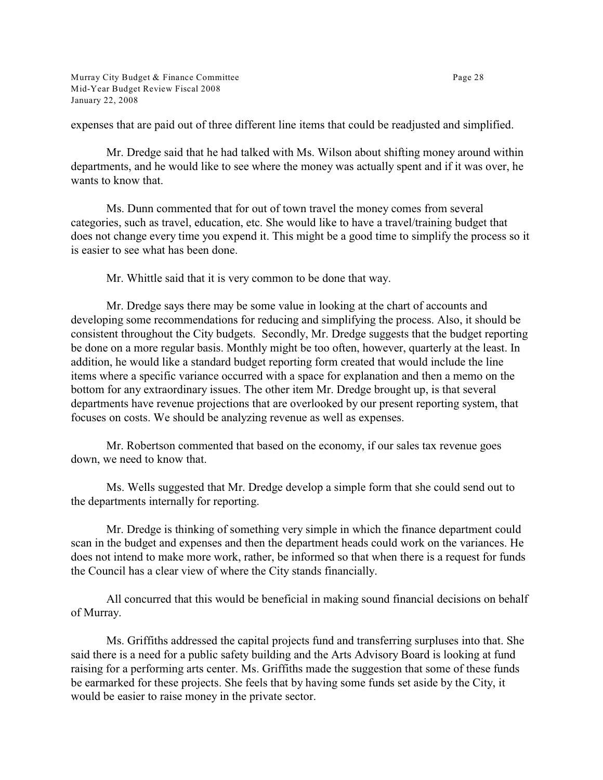Murray City Budget & Finance Committee Page 28 Mid-Year Budget Review Fiscal 2008 January 22, 2008

expenses that are paid out of three different line items that could be readjusted and simplified.

Mr. Dredge said that he had talked with Ms. Wilson about shifting money around within departments, and he would like to see where the money was actually spent and if it was over, he wants to know that.

Ms. Dunn commented that for out of town travel the money comes from several categories, such as travel, education, etc. She would like to have a travel/training budget that does not change every time you expend it. This might be a good time to simplify the process so it is easier to see what has been done.

Mr. Whittle said that it is very common to be done that way.

Mr. Dredge says there may be some value in looking at the chart of accounts and developing some recommendations for reducing and simplifying the process. Also, it should be consistent throughout the City budgets. Secondly, Mr. Dredge suggests that the budget reporting be done on a more regular basis. Monthly might be too often, however, quarterly at the least. In addition, he would like a standard budget reporting form created that would include the line items where a specific variance occurred with a space for explanation and then a memo on the bottom for any extraordinary issues. The other item Mr. Dredge brought up, is that several departments have revenue projections that are overlooked by our present reporting system, that focuses on costs. We should be analyzing revenue as well as expenses.

Mr. Robertson commented that based on the economy, if our sales tax revenue goes down, we need to know that.

Ms. Wells suggested that Mr. Dredge develop a simple form that she could send out to the departments internally for reporting.

Mr. Dredge is thinking of something very simple in which the finance department could scan in the budget and expenses and then the department heads could work on the variances. He does not intend to make more work, rather, be informed so that when there is a request for funds the Council has a clear view of where the City stands financially.

All concurred that this would be beneficial in making sound financial decisions on behalf of Murray.

Ms. Griffiths addressed the capital projects fund and transferring surpluses into that. She said there is a need for a public safety building and the Arts Advisory Board is looking at fund raising for a performing arts center. Ms. Griffiths made the suggestion that some of these funds be earmarked for these projects. She feels that by having some funds set aside by the City, it would be easier to raise money in the private sector.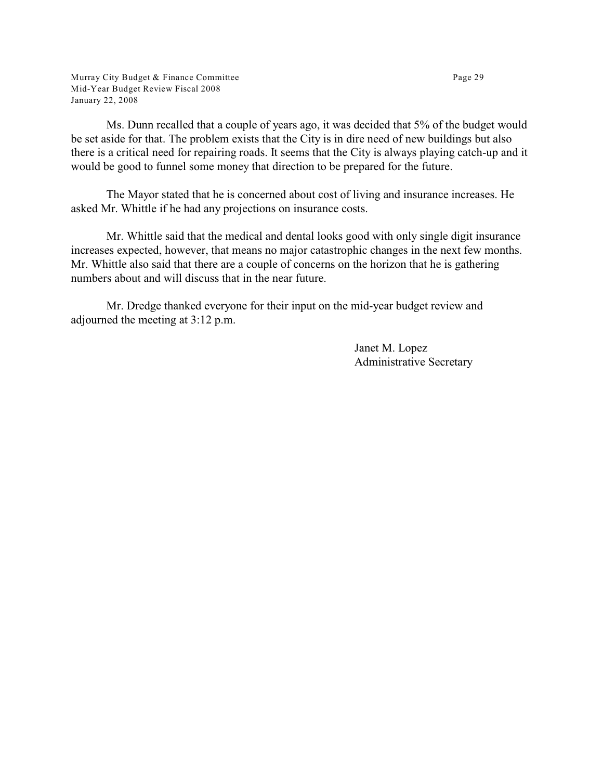Murray City Budget & Finance Committee Page 29 Mid-Year Budget Review Fiscal 2008 January 22, 2008

Ms. Dunn recalled that a couple of years ago, it was decided that 5% of the budget would be set aside for that. The problem exists that the City is in dire need of new buildings but also there is a critical need for repairing roads. It seems that the City is always playing catch-up and it would be good to funnel some money that direction to be prepared for the future.

The Mayor stated that he is concerned about cost of living and insurance increases. He asked Mr. Whittle if he had any projections on insurance costs.

Mr. Whittle said that the medical and dental looks good with only single digit insurance increases expected, however, that means no major catastrophic changes in the next few months. Mr. Whittle also said that there are a couple of concerns on the horizon that he is gathering numbers about and will discuss that in the near future.

Mr. Dredge thanked everyone for their input on the mid-year budget review and adjourned the meeting at 3:12 p.m.

> Janet M. Lopez Administrative Secretary